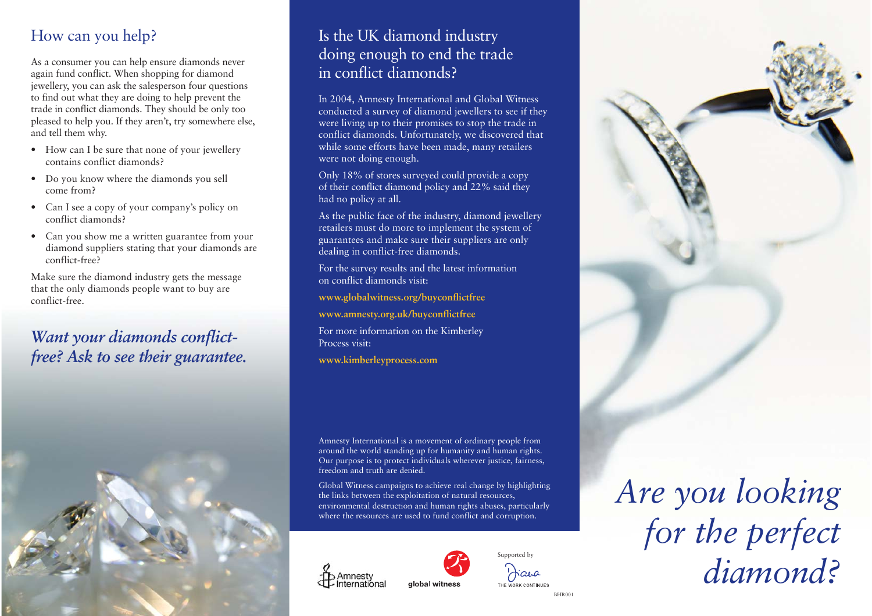# How can you help?

As a consumer you can help ensure diamonds never again fund conflict. When shopping for diamond jewellery, you can ask the salesperson four questions to find out what they are doing to help prevent the trade in conflict diamonds. They should be only too <sup>p</sup>leased to help you. If they aren't, try somewhere else, and tell them why.

- How can I be sure that none of your jewellery contains conflict diamonds?
- Do you know where the diamonds you sell come from?
- Can I see a copy of your company's policy on conflict diamonds?
- Can you show me a written guarantee from your diamond suppliers stating that your diamonds are conflict-free?

Make sure the diamond industry gets the message that the only diamonds people want to buy are conflict-free.

## *Want your diamonds conflictfree? Ask to see their guarantee.*



### Is the UK diamond industry doing enough to end the trade in conflict diamonds?

In 2004, Amnesty International and Global Witness conducted a survey of diamond jewellers to see if they were living up to their promises to stop the trade in conflict diamonds. Unfortunately, we discovered that while some efforts have been made, many retailers were not doing enough.

Only 18% of stores surveyed could provide a copy of their conflict diamond policy and 22% said they had no policy at all.

As the public face of the industry, diamond jewellery retailers must do more to implement the system of guarantees and make sure their suppliers are only dealing in conflict-free diamonds.

For the survey results and the latest information on conflict diamonds visit:

**www.globalwitness.org/buyconflictfree** 

**www.amnesty.org.uk/buyconflictfree** 

For more information on the Kimberley Process visit:

**www.kimberleyprocess.com** 

Amnesty International is a movement of ordinary people from around the world standing up for humanity and human rights. Our purpose is to protect individuals wherever justice, fairness, freedom and truth are denied.

Global Witness campaigns to achieve real change by highlighting the links between the exploitation of natural resources, environmental destruction and human rights abuses, particularly where the resources are used to fund conflict and corruption.





BHR001